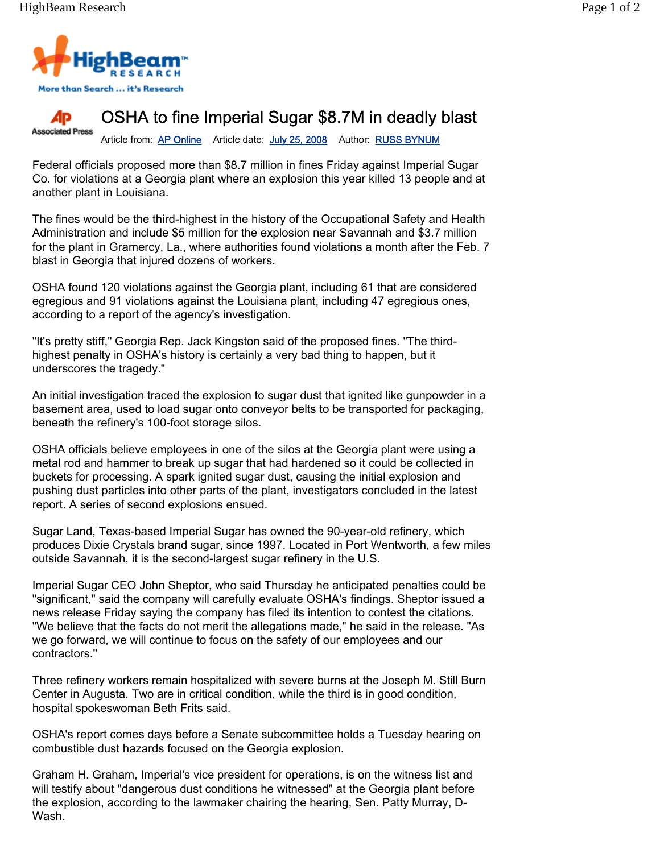

## OSHA to fine Imperial Sugar \$8.7M in deadly blast **Ap Associated Press**

Article from: AP Online Article date: July 25, 2008 Author: RUSS BYNUM

Federal officials proposed more than \$8.7 million in fines Friday against Imperial Sugar Co. for violations at a Georgia plant where an explosion this year killed 13 people and at another plant in Louisiana.

The fines would be the third-highest in the history of the Occupational Safety and Health Administration and include \$5 million for the explosion near Savannah and \$3.7 million for the plant in Gramercy, La., where authorities found violations a month after the Feb. 7 blast in Georgia that injured dozens of workers.

OSHA found 120 violations against the Georgia plant, including 61 that are considered egregious and 91 violations against the Louisiana plant, including 47 egregious ones, according to a report of the agency's investigation.

"It's pretty stiff," Georgia Rep. Jack Kingston said of the proposed fines. "The thirdhighest penalty in OSHA's history is certainly a very bad thing to happen, but it underscores the tragedy."

An initial investigation traced the explosion to sugar dust that ignited like gunpowder in a basement area, used to load sugar onto conveyor belts to be transported for packaging, beneath the refinery's 100-foot storage silos.

OSHA officials believe employees in one of the silos at the Georgia plant were using a metal rod and hammer to break up sugar that had hardened so it could be collected in buckets for processing. A spark ignited sugar dust, causing the initial explosion and pushing dust particles into other parts of the plant, investigators concluded in the latest report. A series of second explosions ensued.

Sugar Land, Texas-based Imperial Sugar has owned the 90-year-old refinery, which produces Dixie Crystals brand sugar, since 1997. Located in Port Wentworth, a few miles outside Savannah, it is the second-largest sugar refinery in the U.S.

Imperial Sugar CEO John Sheptor, who said Thursday he anticipated penalties could be "significant," said the company will carefully evaluate OSHA's findings. Sheptor issued a news release Friday saying the company has filed its intention to contest the citations. "We believe that the facts do not merit the allegations made," he said in the release. "As we go forward, we will continue to focus on the safety of our employees and our contractors."

Three refinery workers remain hospitalized with severe burns at the Joseph M. Still Burn Center in Augusta. Two are in critical condition, while the third is in good condition, hospital spokeswoman Beth Frits said.

OSHA's report comes days before a Senate subcommittee holds a Tuesday hearing on combustible dust hazards focused on the Georgia explosion.

Graham H. Graham, Imperial's vice president for operations, is on the witness list and will testify about "dangerous dust conditions he witnessed" at the Georgia plant before the explosion, according to the lawmaker chairing the hearing, Sen. Patty Murray, D-Wash.